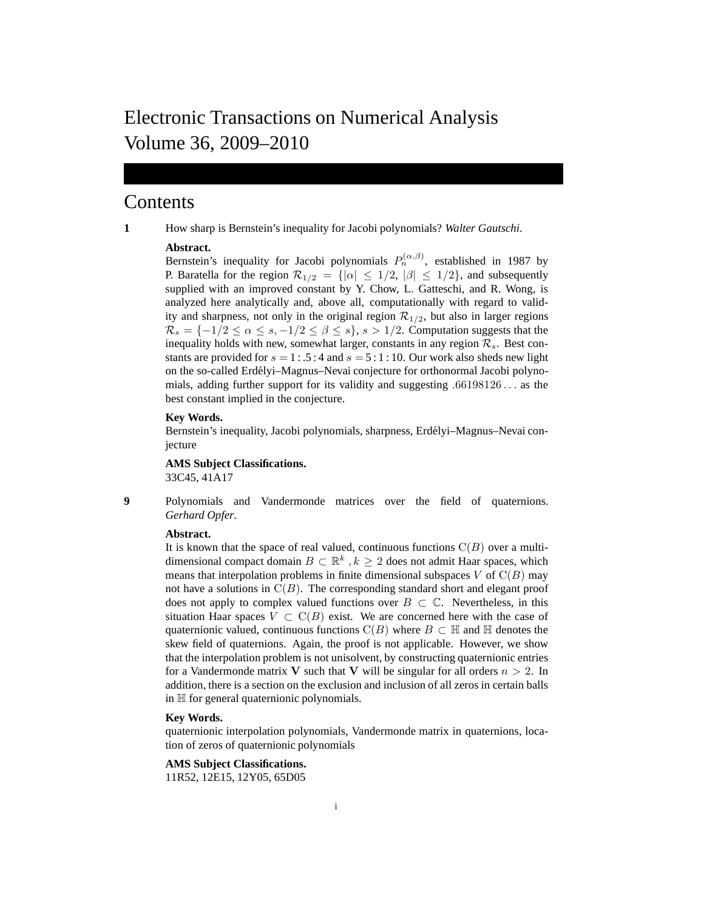# Electronic Transactions on Numerical Analysis Volume 36, 2009–2010

# Contents

**1** How sharp is Bernstein's inequality for Jacobi polynomials? *Walter Gautschi*.

# **Abstract.**

Bernstein's inequality for Jacobi polynomials  $P_n^{(\alpha,\beta)}$ , established in 1987 by P. Baratella for the region  $\mathcal{R}_{1/2} = \{|\alpha| \leq 1/2, |\beta| \leq 1/2\}$ , and subsequently supplied with an improved constant by Y. Chow, L. Gatteschi, and R. Wong, is analyzed here analytically and, above all, computationally with regard to validity and sharpness, not only in the original region  $\mathcal{R}_{1/2}$ , but also in larger regions  $\mathcal{R}_s = \{-1/2 \leq \alpha \leq s, -1/2 \leq \beta \leq s\}, s > 1/2$ . Computation suggests that the inequality holds with new, somewhat larger, constants in any region  $\mathcal{R}_s$ . Best constants are provided for  $s = 1: .5:4$  and  $s = 5:1:10$ . Our work also sheds new light on the so-called Erdélyi-Magnus-Nevai conjecture for orthonormal Jacobi polynomials, adding further support for its validity and suggesting .66198126 . . . as the best constant implied in the conjecture.

# **Key Words.**

Bernstein's inequality, Jacobi polynomials, sharpness, Erdélyi-Magnus-Nevai conjecture

**AMS Subject Classifications.** 33C45, 41A17

**9** Polynomials and Vandermonde matrices over the field of quaternions. *Gerhard Opfer*.

# **Abstract.**

It is known that the space of real valued, continuous functions  $C(B)$  over a multidimensional compact domain  $B \subset \mathbb{R}^k$ ,  $k \geq 2$  does not admit Haar spaces, which means that interpolation problems in finite dimensional subspaces  $V$  of  $C(B)$  may not have a solutions in  $C(B)$ . The corresponding standard short and elegant proof does not apply to complex valued functions over  $B \subset \mathbb{C}$ . Nevertheless, in this situation Haar spaces  $V \subset C(B)$  exist. We are concerned here with the case of quaternionic valued, continuous functions  $C(B)$  where  $B \subset \mathbb{H}$  and  $\mathbb{H}$  denotes the skew field of quaternions. Again, the proof is not applicable. However, we show that the interpolation problem is not unisolvent, by constructing quaternionic entries for a Vandermonde matrix V such that V will be singular for all orders  $n > 2$ . In addition, there is a section on the exclusion and inclusion of all zeros in certain balls in H for general quaternionic polynomials.

#### **Key Words.**

quaternionic interpolation polynomials, Vandermonde matrix in quaternions, location of zeros of quaternionic polynomials

# **AMS Subject Classifications.**

11R52, 12E15, 12Y05, 65D05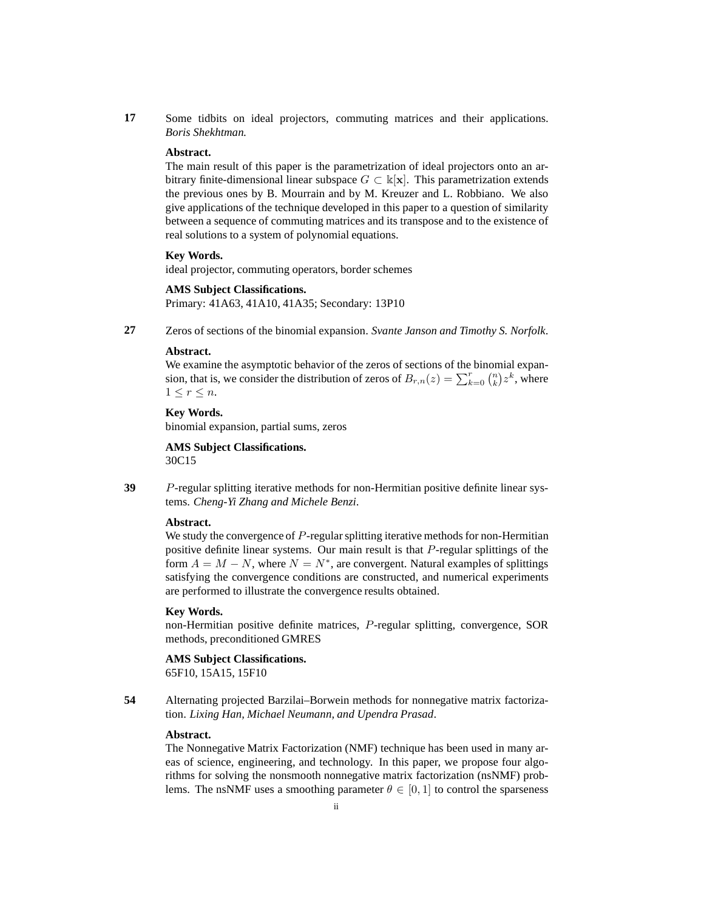**17** Some tidbits on ideal projectors, commuting matrices and their applications. *Boris Shekhtman*.

# **Abstract.**

The main result of this paper is the parametrization of ideal projectors onto an arbitrary finite-dimensional linear subspace  $G \subset \mathbb{k}[\mathbf{x}]$ . This parametrization extends the previous ones by B. Mourrain and by M. Kreuzer and L. Robbiano. We also give applications of the technique developed in this paper to a question of similarity between a sequence of commuting matrices and its transpose and to the existence of real solutions to a system of polynomial equations.

# **Key Words.**

ideal projector, commuting operators, border schemes

# **AMS Subject Classifications.**

Primary: 41A63, 41A10, 41A35; Secondary: 13P10

**27** Zeros of sections of the binomial expansion. *Svante Janson and Timothy S. Norfolk*.

#### **Abstract.**

We examine the asymptotic behavior of the zeros of sections of the binomial expansion, that is, we consider the distribution of zeros of  $B_{r,n}(z) = \sum_{k=0}^{r} {n \choose k} z^k$ , where  $1 \leq r \leq n$ .

**Key Words.**

binomial expansion, partial sums, zeros

**AMS Subject Classifications.** 30C15

**39** P-regular splitting iterative methods for non-Hermitian positive definite linear systems. *Cheng-Yi Zhang and Michele Benzi*.

# **Abstract.**

We study the convergence of P-regular splitting iterative methods for non-Hermitian positive definite linear systems. Our main result is that P-regular splittings of the form  $A = M - N$ , where  $N = N^*$ , are convergent. Natural examples of splittings satisfying the convergence conditions are constructed, and numerical experiments are performed to illustrate the convergence results obtained.

#### **Key Words.**

non-Hermitian positive definite matrices, P-regular splitting, convergence, SOR methods, preconditioned GMRES

# **AMS Subject Classifications.**

65F10, 15A15, 15F10

**54** Alternating projected Barzilai–Borwein methods for nonnegative matrix factorization. *Lixing Han, Michael Neumann, and Upendra Prasad*.

# **Abstract.**

The Nonnegative Matrix Factorization (NMF) technique has been used in many areas of science, engineering, and technology. In this paper, we propose four algorithms for solving the nonsmooth nonnegative matrix factorization (nsNMF) problems. The nsNMF uses a smoothing parameter  $\theta \in [0, 1]$  to control the sparseness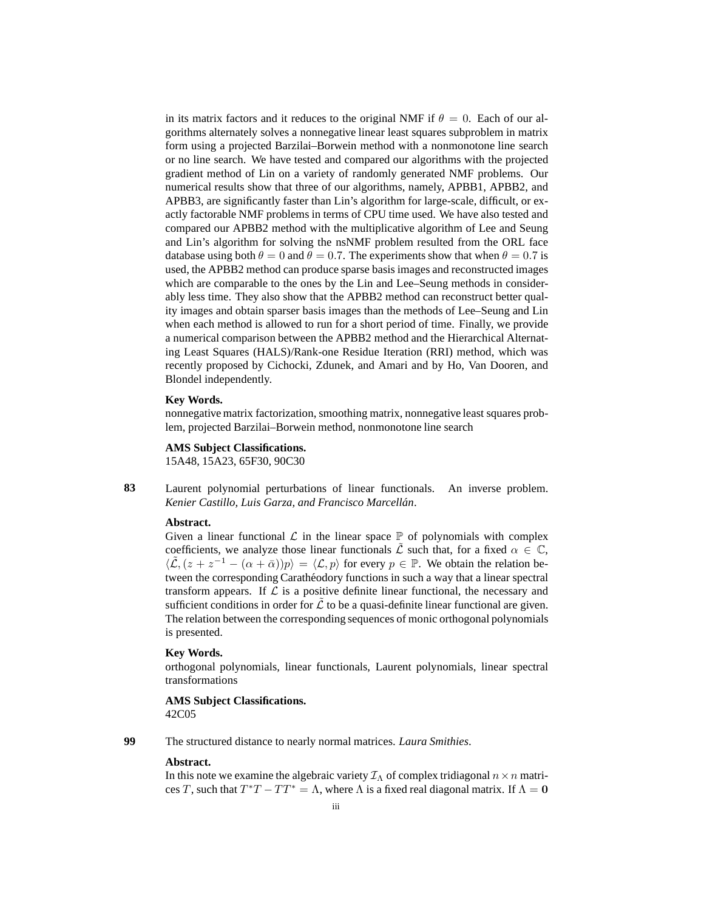in its matrix factors and it reduces to the original NMF if  $\theta = 0$ . Each of our algorithms alternately solves a nonnegative linear least squares subproblem in matrix form using a projected Barzilai–Borwein method with a nonmonotone line search or no line search. We have tested and compared our algorithms with the projected gradient method of Lin on a variety of randomly generated NMF problems. Our numerical results show that three of our algorithms, namely, APBB1, APBB2, and APBB3, are significantly faster than Lin's algorithm for large-scale, difficult, or exactly factorable NMF problems in terms of CPU time used. We have also tested and compared our APBB2 method with the multiplicative algorithm of Lee and Seung and Lin's algorithm for solving the nsNMF problem resulted from the ORL face database using both  $\theta = 0$  and  $\theta = 0.7$ . The experiments show that when  $\theta = 0.7$  is used, the APBB2 method can produce sparse basis images and reconstructed images which are comparable to the ones by the Lin and Lee–Seung methods in considerably less time. They also show that the APBB2 method can reconstruct better quality images and obtain sparser basis images than the methods of Lee–Seung and Lin when each method is allowed to run for a short period of time. Finally, we provide a numerical comparison between the APBB2 method and the Hierarchical Alternating Least Squares (HALS)/Rank-one Residue Iteration (RRI) method, which was recently proposed by Cichocki, Zdunek, and Amari and by Ho, Van Dooren, and Blondel independently.

# **Key Words.**

nonnegative matrix factorization, smoothing matrix, nonnegative least squares problem, projected Barzilai–Borwein method, nonmonotone line search

**AMS Subject Classifications.** 15A48, 15A23, 65F30, 90C30

**83** Laurent polynomial perturbations of linear functionals. An inverse problem. *Kenier Castillo, Luis Garza, and Francisco Marcellan´* .

# **Abstract.**

Given a linear functional  $\mathcal L$  in the linear space  $\mathbb P$  of polynomials with complex coefficients, we analyze those linear functionals  $\tilde{\mathcal{L}}$  such that, for a fixed  $\alpha \in \mathbb{C}$ ,  $\langle \tilde{\mathcal{L}},(z + z^{-1} - (\alpha + \bar{\alpha}))p \rangle = \langle \mathcal{L}, p \rangle$  for every  $p \in \mathbb{P}$ . We obtain the relation between the corresponding Carathéodory functions in such a way that a linear spectral transform appears. If  $\mathcal L$  is a positive definite linear functional, the necessary and sufficient conditions in order for  $\hat{\mathcal{L}}$  to be a quasi-definite linear functional are given. The relation between the corresponding sequences of monic orthogonal polynomials is presented.

#### **Key Words.**

orthogonal polynomials, linear functionals, Laurent polynomials, linear spectral transformations

**AMS Subject Classifications.** 42C05

**99** The structured distance to nearly normal matrices. *Laura Smithies*.

# **Abstract.**

In this note we examine the algebraic variety  $\mathcal{I}_{\Lambda}$  of complex tridiagonal  $n \times n$  matrices T, such that  $T^*T - TT^* = \Lambda$ , where  $\Lambda$  is a fixed real diagonal matrix. If  $\Lambda = 0$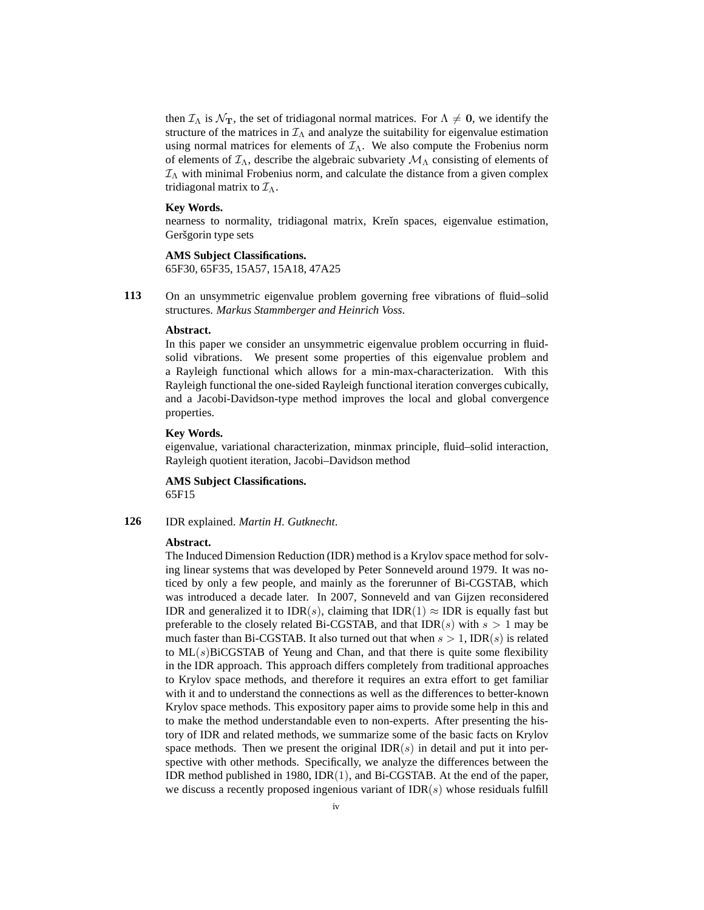then  $\mathcal{I}_{\Lambda}$  is  $\mathcal{N}_{\mathbf{T}}$ , the set of tridiagonal normal matrices. For  $\Lambda \neq \mathbf{0}$ , we identify the structure of the matrices in  $\mathcal{I}_{\Lambda}$  and analyze the suitability for eigenvalue estimation using normal matrices for elements of  $\mathcal{I}_{\Lambda}$ . We also compute the Frobenius norm of elements of  $\mathcal{I}_{\Lambda}$ , describe the algebraic subvariety  $\mathcal{M}_{\Lambda}$  consisting of elements of  $\mathcal{I}_{\Lambda}$  with minimal Frobenius norm, and calculate the distance from a given complex tridiagonal matrix to  $\mathcal{I}_{\Lambda}$ .

# **Key Words.**

nearness to normality, tridiagonal matrix, Krein spaces, eigenvalue estimation, Geršgorin type sets

# **AMS Subject Classifications.**

65F30, 65F35, 15A57, 15A18, 47A25

**113** On an unsymmetric eigenvalue problem governing free vibrations of fluid–solid structures. *Markus Stammberger and Heinrich Voss*.

# **Abstract.**

In this paper we consider an unsymmetric eigenvalue problem occurring in fluidsolid vibrations. We present some properties of this eigenvalue problem and a Rayleigh functional which allows for a min-max-characterization. With this Rayleigh functional the one-sided Rayleigh functional iteration converges cubically, and a Jacobi-Davidson-type method improves the local and global convergence properties.

#### **Key Words.**

eigenvalue, variational characterization, minmax principle, fluid–solid interaction, Rayleigh quotient iteration, Jacobi–Davidson method

**AMS Subject Classifications.** 65F15

# **126** IDR explained. *Martin H. Gutknecht*.

### **Abstract.**

The Induced Dimension Reduction (IDR) method is a Krylov space method for solving linear systems that was developed by Peter Sonneveld around 1979. It was noticed by only a few people, and mainly as the forerunner of Bi-CGSTAB, which was introduced a decade later. In 2007, Sonneveld and van Gijzen reconsidered IDR and generalized it to IDR(s), claiming that IDR(1)  $\approx$  IDR is equally fast but preferable to the closely related Bi-CGSTAB, and that  $IDR(s)$  with  $s > 1$  may be much faster than Bi-CGSTAB. It also turned out that when  $s > 1$ , IDR(s) is related to  $ML(s)$ BiCGSTAB of Yeung and Chan, and that there is quite some flexibility in the IDR approach. This approach differs completely from traditional approaches to Krylov space methods, and therefore it requires an extra effort to get familiar with it and to understand the connections as well as the differences to better-known Krylov space methods. This expository paper aims to provide some help in this and to make the method understandable even to non-experts. After presenting the history of IDR and related methods, we summarize some of the basic facts on Krylov space methods. Then we present the original  $\text{IDR}(s)$  in detail and put it into perspective with other methods. Specifically, we analyze the differences between the IDR method published in 1980, IDR(1), and Bi-CGSTAB. At the end of the paper, we discuss a recently proposed ingenious variant of  $IDR(s)$  whose residuals fulfill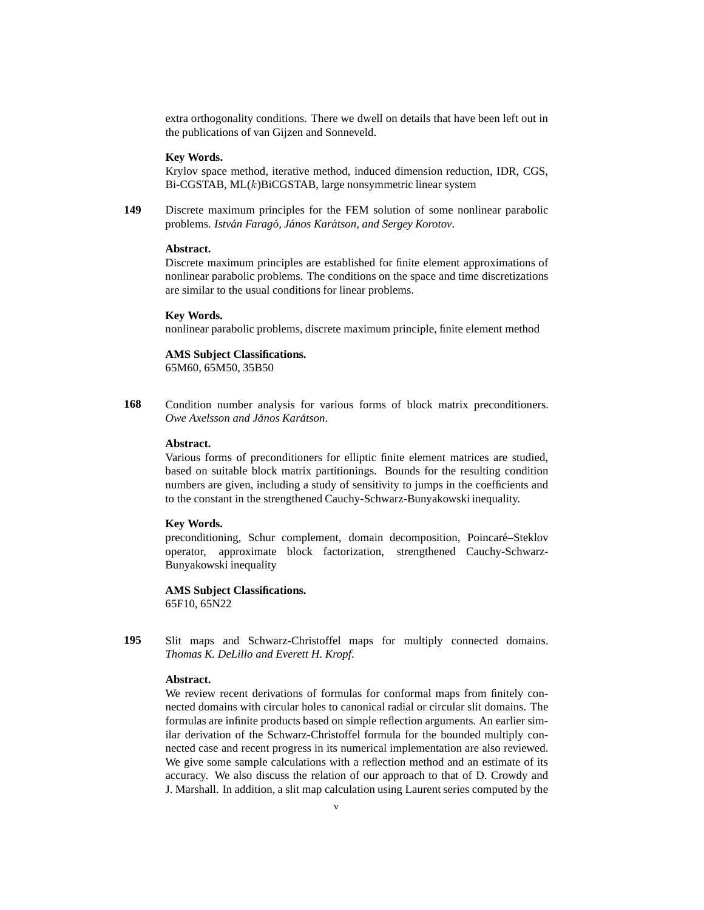extra orthogonality conditions. There we dwell on details that have been left out in the publications of van Gijzen and Sonneveld.

#### **Key Words.**

Krylov space method, iterative method, induced dimension reduction, IDR, CGS,  $Bi-CGSTAB$ ,  $ML(k)BiCGSTAB$ , large nonsymmetric linear system

**149** Discrete maximum principles for the FEM solution of some nonlinear parabolic problems. *Istvan Farag ´ o, J ´ anos Kar ´ atson, and Sergey Korotov ´* .

# **Abstract.**

Discrete maximum principles are established for finite element approximations of nonlinear parabolic problems. The conditions on the space and time discretizations are similar to the usual conditions for linear problems.

#### **Key Words.**

nonlinear parabolic problems, discrete maximum principle, finite element method

#### **AMS Subject Classifications.**

65M60, 65M50, 35B50

**168** Condition number analysis for various forms of block matrix preconditioners.  $O$ we Axelsson and János Karátson.

# **Abstract.**

Various forms of preconditioners for elliptic finite element matrices are studied, based on suitable block matrix partitionings. Bounds for the resulting condition numbers are given, including a study of sensitivity to jumps in the coefficients and to the constant in the strengthened Cauchy-Schwarz-Bunyakowski inequality.

#### **Key Words.**

preconditioning, Schur complement, domain decomposition, Poincaré–Steklov operator, approximate block factorization, strengthened Cauchy-Schwarz-Bunyakowski inequality

**AMS Subject Classifications.** 65F10, 65N22

**195** Slit maps and Schwarz-Christoffel maps for multiply connected domains. *Thomas K. DeLillo and Everett H. Kropf*.

#### **Abstract.**

We review recent derivations of formulas for conformal maps from finitely connected domains with circular holes to canonical radial or circular slit domains. The formulas are infinite products based on simple reflection arguments. An earlier similar derivation of the Schwarz-Christoffel formula for the bounded multiply connected case and recent progress in its numerical implementation are also reviewed. We give some sample calculations with a reflection method and an estimate of its accuracy. We also discuss the relation of our approach to that of D. Crowdy and J. Marshall. In addition, a slit map calculation using Laurent series computed by the